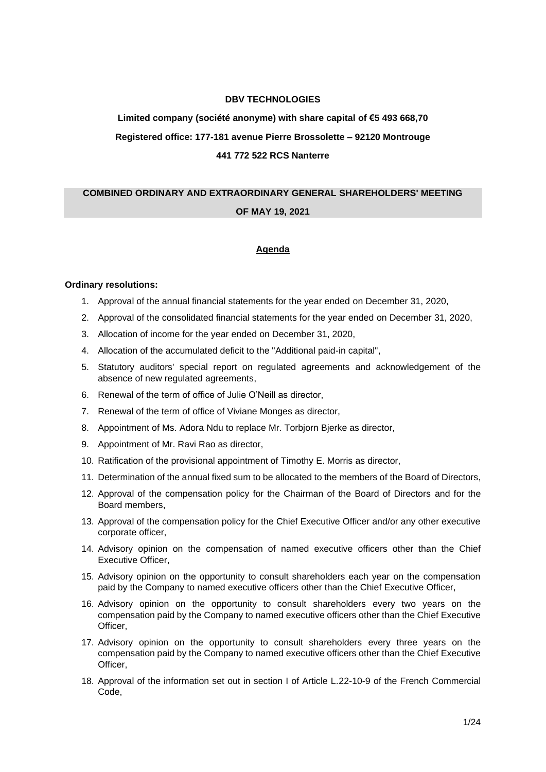# **DBV TECHNOLOGIES**

# **Limited company (société anonyme) with share capital of €5 493 668,70 Registered office: 177-181 avenue Pierre Brossolette – 92120 Montrouge 441 772 522 RCS Nanterre**

# **COMBINED ORDINARY AND EXTRAORDINARY GENERAL SHAREHOLDERS' MEETING**

# **OF MAY 19, 2021**

# **Agenda**

#### **Ordinary resolutions:**

- 1. Approval of the annual financial statements for the year ended on December 31, 2020,
- 2. Approval of the consolidated financial statements for the year ended on December 31, 2020,
- 3. Allocation of income for the year ended on December 31, 2020,
- 4. Allocation of the accumulated deficit to the "Additional paid-in capital",
- 5. Statutory auditors' special report on regulated agreements and acknowledgement of the absence of new regulated agreements,
- 6. Renewal of the term of office of Julie O'Neill as director,
- 7. Renewal of the term of office of Viviane Monges as director,
- 8. Appointment of Ms. Adora Ndu to replace Mr. Torbjorn Bjerke as director,
- 9. Appointment of Mr. Ravi Rao as director,
- 10. Ratification of the provisional appointment of Timothy E. Morris as director,
- 11. Determination of the annual fixed sum to be allocated to the members of the Board of Directors,
- 12. Approval of the compensation policy for the Chairman of the Board of Directors and for the Board members,
- 13. Approval of the compensation policy for the Chief Executive Officer and/or any other executive corporate officer,
- 14. Advisory opinion on the compensation of named executive officers other than the Chief Executive Officer,
- 15. Advisory opinion on the opportunity to consult shareholders each year on the compensation paid by the Company to named executive officers other than the Chief Executive Officer,
- 16. Advisory opinion on the opportunity to consult shareholders every two years on the compensation paid by the Company to named executive officers other than the Chief Executive Officer,
- 17. Advisory opinion on the opportunity to consult shareholders every three years on the compensation paid by the Company to named executive officers other than the Chief Executive Officer,
- 18. Approval of the information set out in section I of Article L.22-10-9 of the French Commercial Code,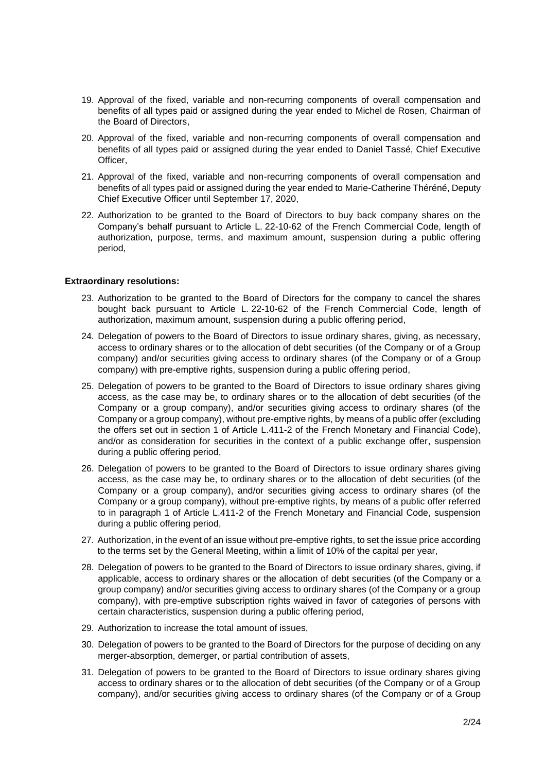- 19. Approval of the fixed, variable and non-recurring components of overall compensation and benefits of all types paid or assigned during the year ended to Michel de Rosen, Chairman of the Board of Directors,
- 20. Approval of the fixed, variable and non-recurring components of overall compensation and benefits of all types paid or assigned during the year ended to Daniel Tassé, Chief Executive Officer,
- 21. Approval of the fixed, variable and non-recurring components of overall compensation and benefits of all types paid or assigned during the year ended to Marie-Catherine Théréné, Deputy Chief Executive Officer until September 17, 2020,
- 22. Authorization to be granted to the Board of Directors to buy back company shares on the Company's behalf pursuant to Article L. 22-10-62 of the French Commercial Code, length of authorization, purpose, terms, and maximum amount, suspension during a public offering period,

#### **Extraordinary resolutions:**

- 23. Authorization to be granted to the Board of Directors for the company to cancel the shares bought back pursuant to Article L. 22-10-62 of the French Commercial Code, length of authorization, maximum amount, suspension during a public offering period,
- 24. Delegation of powers to the Board of Directors to issue ordinary shares, giving, as necessary, access to ordinary shares or to the allocation of debt securities (of the Company or of a Group company) and/or securities giving access to ordinary shares (of the Company or of a Group company) with pre-emptive rights, suspension during a public offering period,
- 25. Delegation of powers to be granted to the Board of Directors to issue ordinary shares giving access, as the case may be, to ordinary shares or to the allocation of debt securities (of the Company or a group company), and/or securities giving access to ordinary shares (of the Company or a group company), without pre-emptive rights, by means of a public offer (excluding the offers set out in section 1 of Article L.411-2 of the French Monetary and Financial Code), and/or as consideration for securities in the context of a public exchange offer, suspension during a public offering period,
- 26. Delegation of powers to be granted to the Board of Directors to issue ordinary shares giving access, as the case may be, to ordinary shares or to the allocation of debt securities (of the Company or a group company), and/or securities giving access to ordinary shares (of the Company or a group company), without pre-emptive rights, by means of a public offer referred to in paragraph 1 of Article L.411-2 of the French Monetary and Financial Code, suspension during a public offering period,
- 27. Authorization, in the event of an issue without pre-emptive rights, to set the issue price according to the terms set by the General Meeting, within a limit of 10% of the capital per year,
- 28. Delegation of powers to be granted to the Board of Directors to issue ordinary shares, giving, if applicable, access to ordinary shares or the allocation of debt securities (of the Company or a group company) and/or securities giving access to ordinary shares (of the Company or a group company), with pre-emptive subscription rights waived in favor of categories of persons with certain characteristics, suspension during a public offering period,
- 29. Authorization to increase the total amount of issues,
- 30. Delegation of powers to be granted to the Board of Directors for the purpose of deciding on any merger-absorption, demerger, or partial contribution of assets,
- 31. Delegation of powers to be granted to the Board of Directors to issue ordinary shares giving access to ordinary shares or to the allocation of debt securities (of the Company or of a Group company), and/or securities giving access to ordinary shares (of the Company or of a Group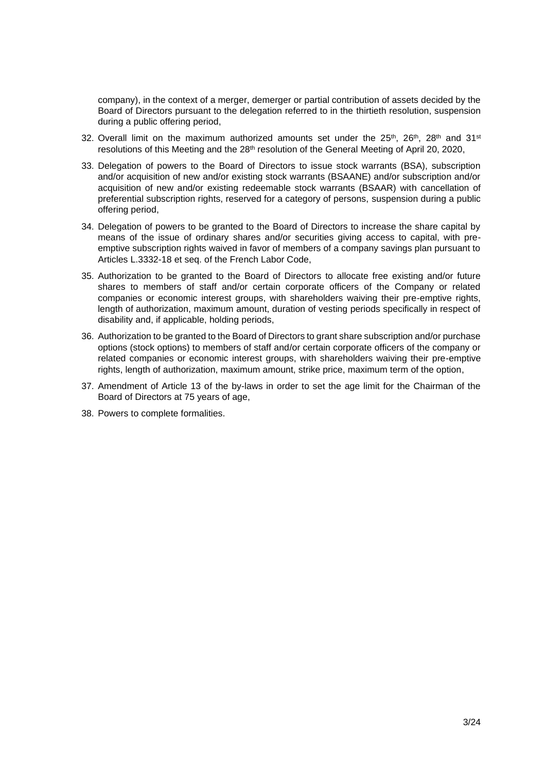company), in the context of a merger, demerger or partial contribution of assets decided by the Board of Directors pursuant to the delegation referred to in the thirtieth resolution, suspension during a public offering period,

- 32. Overall limit on the maximum authorized amounts set under the  $25<sup>th</sup>$ ,  $26<sup>th</sup>$ ,  $28<sup>th</sup>$  and  $31<sup>st</sup>$ resolutions of this Meeting and the 28<sup>th</sup> resolution of the General Meeting of April 20, 2020,
- 33. Delegation of powers to the Board of Directors to issue stock warrants (BSA), subscription and/or acquisition of new and/or existing stock warrants (BSAANE) and/or subscription and/or acquisition of new and/or existing redeemable stock warrants (BSAAR) with cancellation of preferential subscription rights, reserved for a category of persons, suspension during a public offering period,
- 34. Delegation of powers to be granted to the Board of Directors to increase the share capital by means of the issue of ordinary shares and/or securities giving access to capital, with preemptive subscription rights waived in favor of members of a company savings plan pursuant to Articles L.3332-18 et seq. of the French Labor Code,
- 35. Authorization to be granted to the Board of Directors to allocate free existing and/or future shares to members of staff and/or certain corporate officers of the Company or related companies or economic interest groups, with shareholders waiving their pre-emptive rights, length of authorization, maximum amount, duration of vesting periods specifically in respect of disability and, if applicable, holding periods,
- 36. Authorization to be granted to the Board of Directors to grant share subscription and/or purchase options (stock options) to members of staff and/or certain corporate officers of the company or related companies or economic interest groups, with shareholders waiving their pre-emptive rights, length of authorization, maximum amount, strike price, maximum term of the option,
- 37. Amendment of Article 13 of the by-laws in order to set the age limit for the Chairman of the Board of Directors at 75 years of age,
- 38. Powers to complete formalities.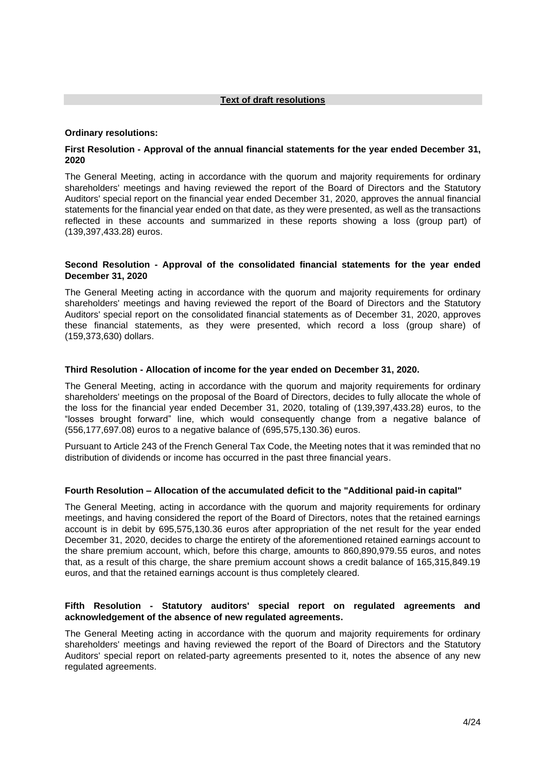#### **Text of draft resolutions**

#### **Ordinary resolutions:**

# **First Resolution - Approval of the annual financial statements for the year ended December 31, 2020**

The General Meeting, acting in accordance with the quorum and majority requirements for ordinary shareholders' meetings and having reviewed the report of the Board of Directors and the Statutory Auditors' special report on the financial year ended December 31, 2020, approves the annual financial statements for the financial year ended on that date, as they were presented, as well as the transactions reflected in these accounts and summarized in these reports showing a loss (group part) of (139,397,433.28) euros.

#### **Second Resolution - Approval of the consolidated financial statements for the year ended December 31, 2020**

The General Meeting acting in accordance with the quorum and majority requirements for ordinary shareholders' meetings and having reviewed the report of the Board of Directors and the Statutory Auditors' special report on the consolidated financial statements as of December 31, 2020, approves these financial statements, as they were presented, which record a loss (group share) of (159,373,630) dollars.

#### **Third Resolution - Allocation of income for the year ended on December 31, 2020.**

The General Meeting, acting in accordance with the quorum and majority requirements for ordinary shareholders' meetings on the proposal of the Board of Directors, decides to fully allocate the whole of the loss for the financial year ended December 31, 2020, totaling of (139,397,433.28) euros, to the "losses brought forward" line, which would consequently change from a negative balance of (556,177,697.08) euros to a negative balance of (695,575,130.36) euros.

Pursuant to Article 243 of the French General Tax Code, the Meeting notes that it was reminded that no distribution of dividends or income has occurred in the past three financial years.

#### **Fourth Resolution – Allocation of the accumulated deficit to the "Additional paid-in capital"**

The General Meeting, acting in accordance with the quorum and majority requirements for ordinary meetings, and having considered the report of the Board of Directors, notes that the retained earnings account is in debit by 695,575,130.36 euros after appropriation of the net result for the year ended December 31, 2020, decides to charge the entirety of the aforementioned retained earnings account to the share premium account, which, before this charge, amounts to 860,890,979.55 euros, and notes that, as a result of this charge, the share premium account shows a credit balance of 165,315,849.19 euros, and that the retained earnings account is thus completely cleared.

#### **Fifth Resolution - Statutory auditors' special report on regulated agreements and acknowledgement of the absence of new regulated agreements.**

The General Meeting acting in accordance with the quorum and majority requirements for ordinary shareholders' meetings and having reviewed the report of the Board of Directors and the Statutory Auditors' special report on related-party agreements presented to it, notes the absence of any new regulated agreements.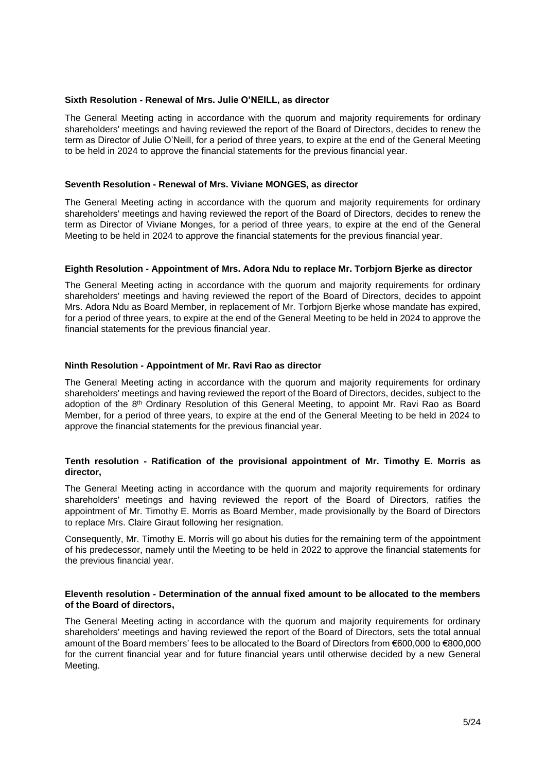#### **Sixth Resolution - Renewal of Mrs. Julie O'NEILL, as director**

The General Meeting acting in accordance with the quorum and majority requirements for ordinary shareholders' meetings and having reviewed the report of the Board of Directors, decides to renew the term as Director of Julie O'Neill, for a period of three years, to expire at the end of the General Meeting to be held in 2024 to approve the financial statements for the previous financial year.

#### **Seventh Resolution - Renewal of Mrs. Viviane MONGES, as director**

The General Meeting acting in accordance with the quorum and majority requirements for ordinary shareholders' meetings and having reviewed the report of the Board of Directors, decides to renew the term as Director of Viviane Monges, for a period of three years, to expire at the end of the General Meeting to be held in 2024 to approve the financial statements for the previous financial year.

#### **Eighth Resolution - Appointment of Mrs. Adora Ndu to replace Mr. Torbjorn Bjerke as director**

The General Meeting acting in accordance with the quorum and majority requirements for ordinary shareholders' meetings and having reviewed the report of the Board of Directors, decides to appoint Mrs. Adora Ndu as Board Member, in replacement of Mr. Torbjorn Bjerke whose mandate has expired, for a period of three years, to expire at the end of the General Meeting to be held in 2024 to approve the financial statements for the previous financial year.

# **Ninth Resolution - Appointment of Mr. Ravi Rao as director**

The General Meeting acting in accordance with the quorum and majority requirements for ordinary shareholders' meetings and having reviewed the report of the Board of Directors, decides, subject to the adoption of the 8<sup>th</sup> Ordinary Resolution of this General Meeting, to appoint Mr. Ravi Rao as Board Member, for a period of three years, to expire at the end of the General Meeting to be held in 2024 to approve the financial statements for the previous financial year.

# **Tenth resolution - Ratification of the provisional appointment of Mr. Timothy E. Morris as director,**

The General Meeting acting in accordance with the quorum and majority requirements for ordinary shareholders' meetings and having reviewed the report of the Board of Directors, ratifies the appointment of Mr. Timothy E. Morris as Board Member, made provisionally by the Board of Directors to replace Mrs. Claire Giraut following her resignation.

Consequently, Mr. Timothy E. Morris will go about his duties for the remaining term of the appointment of his predecessor, namely until the Meeting to be held in 2022 to approve the financial statements for the previous financial year.

#### **Eleventh resolution - Determination of the annual fixed amount to be allocated to the members of the Board of directors,**

The General Meeting acting in accordance with the quorum and majority requirements for ordinary shareholders' meetings and having reviewed the report of the Board of Directors, sets the total annual amount of the Board members' fees to be allocated to the Board of Directors from €600,000 to €800,000 for the current financial year and for future financial years until otherwise decided by a new General Meeting.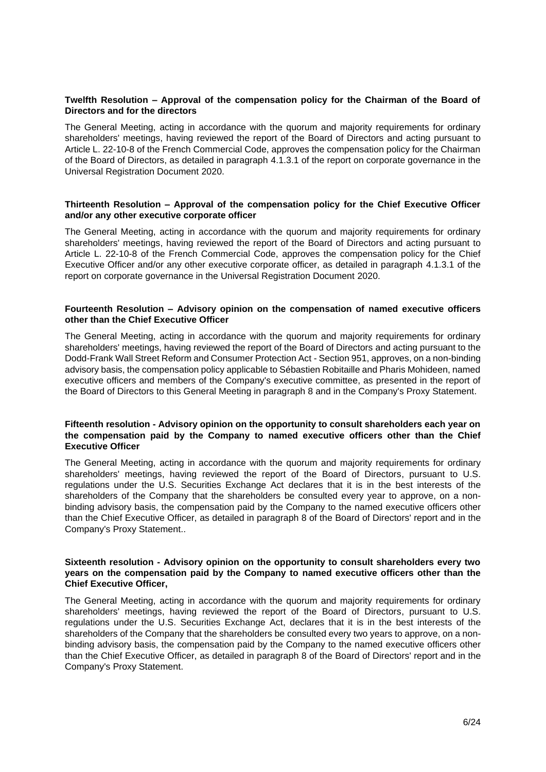# **Twelfth Resolution – Approval of the compensation policy for the Chairman of the Board of Directors and for the directors**

The General Meeting, acting in accordance with the quorum and majority requirements for ordinary shareholders' meetings, having reviewed the report of the Board of Directors and acting pursuant to Article L. 22-10-8 of the French Commercial Code, approves the compensation policy for the Chairman of the Board of Directors, as detailed in paragraph 4.1.3.1 of the report on corporate governance in the Universal Registration Document 2020.

#### **Thirteenth Resolution – Approval of the compensation policy for the Chief Executive Officer and/or any other executive corporate officer**

The General Meeting, acting in accordance with the quorum and majority requirements for ordinary shareholders' meetings, having reviewed the report of the Board of Directors and acting pursuant to Article L. 22-10-8 of the French Commercial Code, approves the compensation policy for the Chief Executive Officer and/or any other executive corporate officer, as detailed in paragraph 4.1.3.1 of the report on corporate governance in the Universal Registration Document 2020.

#### **Fourteenth Resolution – Advisory opinion on the compensation of named executive officers other than the Chief Executive Officer**

The General Meeting, acting in accordance with the quorum and majority requirements for ordinary shareholders' meetings, having reviewed the report of the Board of Directors and acting pursuant to the Dodd-Frank Wall Street Reform and Consumer Protection Act - Section 951, approves, on a non-binding advisory basis, the compensation policy applicable to Sébastien Robitaille and Pharis Mohideen, named executive officers and members of the Company's executive committee, as presented in the report of the Board of Directors to this General Meeting in paragraph 8 and in the Company's Proxy Statement.

#### **Fifteenth resolution - Advisory opinion on the opportunity to consult shareholders each year on the compensation paid by the Company to named executive officers other than the Chief Executive Officer**

The General Meeting, acting in accordance with the quorum and majority requirements for ordinary shareholders' meetings, having reviewed the report of the Board of Directors, pursuant to U.S. regulations under the U.S. Securities Exchange Act declares that it is in the best interests of the shareholders of the Company that the shareholders be consulted every year to approve, on a nonbinding advisory basis, the compensation paid by the Company to the named executive officers other than the Chief Executive Officer, as detailed in paragraph 8 of the Board of Directors' report and in the Company's Proxy Statement..

#### **Sixteenth resolution - Advisory opinion on the opportunity to consult shareholders every two years on the compensation paid by the Company to named executive officers other than the Chief Executive Officer,**

The General Meeting, acting in accordance with the quorum and majority requirements for ordinary shareholders' meetings, having reviewed the report of the Board of Directors, pursuant to U.S. regulations under the U.S. Securities Exchange Act, declares that it is in the best interests of the shareholders of the Company that the shareholders be consulted every two years to approve, on a nonbinding advisory basis, the compensation paid by the Company to the named executive officers other than the Chief Executive Officer, as detailed in paragraph 8 of the Board of Directors' report and in the Company's Proxy Statement.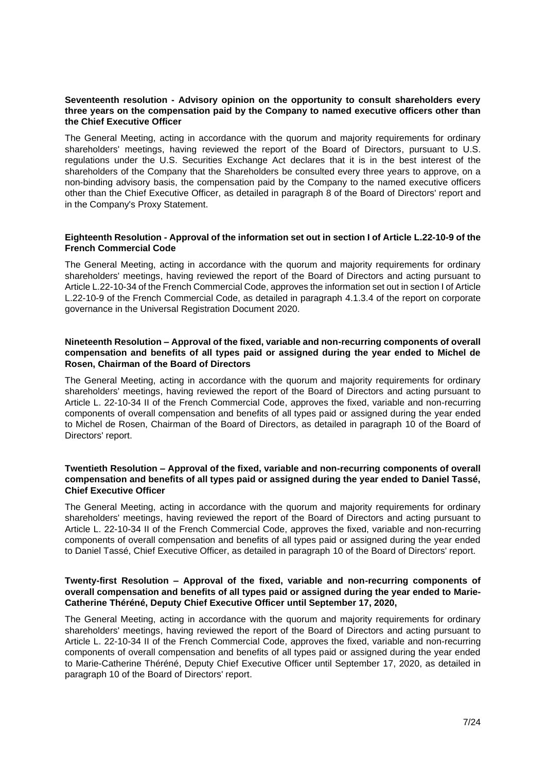# **Seventeenth resolution - Advisory opinion on the opportunity to consult shareholders every three years on the compensation paid by the Company to named executive officers other than the Chief Executive Officer**

The General Meeting, acting in accordance with the quorum and majority requirements for ordinary shareholders' meetings, having reviewed the report of the Board of Directors, pursuant to U.S. regulations under the U.S. Securities Exchange Act declares that it is in the best interest of the shareholders of the Company that the Shareholders be consulted every three years to approve, on a non-binding advisory basis, the compensation paid by the Company to the named executive officers other than the Chief Executive Officer, as detailed in paragraph 8 of the Board of Directors' report and in the Company's Proxy Statement.

#### **Eighteenth Resolution - Approval of the information set out in section I of Article L.22-10-9 of the French Commercial Code**

The General Meeting, acting in accordance with the quorum and majority requirements for ordinary shareholders' meetings, having reviewed the report of the Board of Directors and acting pursuant to Article L.22-10-34 of the French Commercial Code, approves the information set out in section I of Article L.22-10-9 of the French Commercial Code, as detailed in paragraph 4.1.3.4 of the report on corporate governance in the Universal Registration Document 2020.

# **Nineteenth Resolution – Approval of the fixed, variable and non-recurring components of overall compensation and benefits of all types paid or assigned during the year ended to Michel de Rosen, Chairman of the Board of Directors**

The General Meeting, acting in accordance with the quorum and majority requirements for ordinary shareholders' meetings, having reviewed the report of the Board of Directors and acting pursuant to Article L. 22-10-34 II of the French Commercial Code, approves the fixed, variable and non-recurring components of overall compensation and benefits of all types paid or assigned during the year ended to Michel de Rosen, Chairman of the Board of Directors, as detailed in paragraph 10 of the Board of Directors' report.

# **Twentieth Resolution – Approval of the fixed, variable and non-recurring components of overall compensation and benefits of all types paid or assigned during the year ended to Daniel Tassé, Chief Executive Officer**

The General Meeting, acting in accordance with the quorum and majority requirements for ordinary shareholders' meetings, having reviewed the report of the Board of Directors and acting pursuant to Article L. 22-10-34 II of the French Commercial Code, approves the fixed, variable and non-recurring components of overall compensation and benefits of all types paid or assigned during the year ended to Daniel Tassé, Chief Executive Officer, as detailed in paragraph 10 of the Board of Directors' report.

# **Twenty-first Resolution – Approval of the fixed, variable and non-recurring components of overall compensation and benefits of all types paid or assigned during the year ended to Marie-Catherine Théréné, Deputy Chief Executive Officer until September 17, 2020,**

The General Meeting, acting in accordance with the quorum and majority requirements for ordinary shareholders' meetings, having reviewed the report of the Board of Directors and acting pursuant to Article L. 22-10-34 II of the French Commercial Code, approves the fixed, variable and non-recurring components of overall compensation and benefits of all types paid or assigned during the year ended to Marie-Catherine Théréné, Deputy Chief Executive Officer until September 17, 2020, as detailed in paragraph 10 of the Board of Directors' report.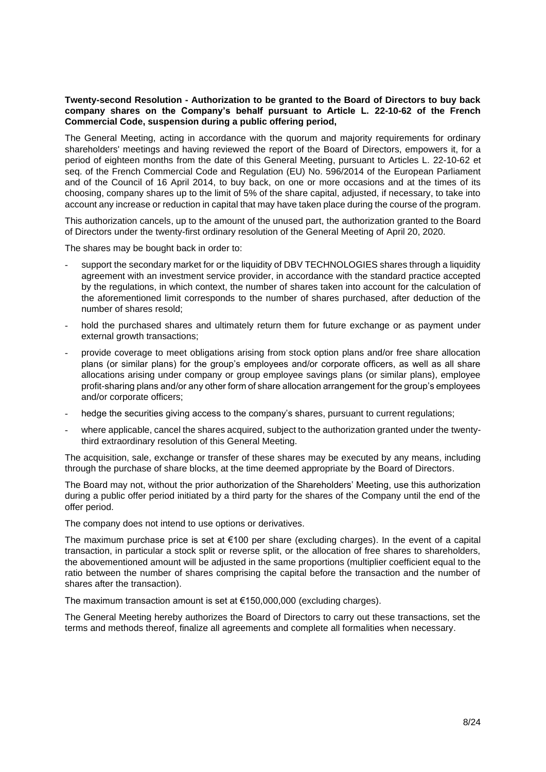# **Twenty-second Resolution - Authorization to be granted to the Board of Directors to buy back company shares on the Company's behalf pursuant to Article L. 22-10-62 of the French Commercial Code, suspension during a public offering period,**

The General Meeting, acting in accordance with the quorum and majority requirements for ordinary shareholders' meetings and having reviewed the report of the Board of Directors, empowers it, for a period of eighteen months from the date of this General Meeting, pursuant to Articles L. 22-10-62 et seq. of the French Commercial Code and Regulation (EU) No. 596/2014 of the European Parliament and of the Council of 16 April 2014, to buy back, on one or more occasions and at the times of its choosing, company shares up to the limit of 5% of the share capital, adjusted, if necessary, to take into account any increase or reduction in capital that may have taken place during the course of the program.

This authorization cancels, up to the amount of the unused part, the authorization granted to the Board of Directors under the twenty-first ordinary resolution of the General Meeting of April 20, 2020.

The shares may be bought back in order to:

- support the secondary market for or the liquidity of DBV TECHNOLOGIES shares through a liquidity agreement with an investment service provider, in accordance with the standard practice accepted by the regulations, in which context, the number of shares taken into account for the calculation of the aforementioned limit corresponds to the number of shares purchased, after deduction of the number of shares resold;
- hold the purchased shares and ultimately return them for future exchange or as payment under external growth transactions;
- provide coverage to meet obligations arising from stock option plans and/or free share allocation plans (or similar plans) for the group's employees and/or corporate officers, as well as all share allocations arising under company or group employee savings plans (or similar plans), employee profit-sharing plans and/or any other form of share allocation arrangement for the group's employees and/or corporate officers;
- hedge the securities giving access to the company's shares, pursuant to current regulations;
- where applicable, cancel the shares acquired, subject to the authorization granted under the twentythird extraordinary resolution of this General Meeting.

The acquisition, sale, exchange or transfer of these shares may be executed by any means, including through the purchase of share blocks, at the time deemed appropriate by the Board of Directors.

The Board may not, without the prior authorization of the Shareholders' Meeting, use this authorization during a public offer period initiated by a third party for the shares of the Company until the end of the offer period.

The company does not intend to use options or derivatives.

The maximum purchase price is set at €100 per share (excluding charges). In the event of a capital transaction, in particular a stock split or reverse split, or the allocation of free shares to shareholders, the abovementioned amount will be adjusted in the same proportions (multiplier coefficient equal to the ratio between the number of shares comprising the capital before the transaction and the number of shares after the transaction).

The maximum transaction amount is set at €150,000,000 (excluding charges).

The General Meeting hereby authorizes the Board of Directors to carry out these transactions, set the terms and methods thereof, finalize all agreements and complete all formalities when necessary.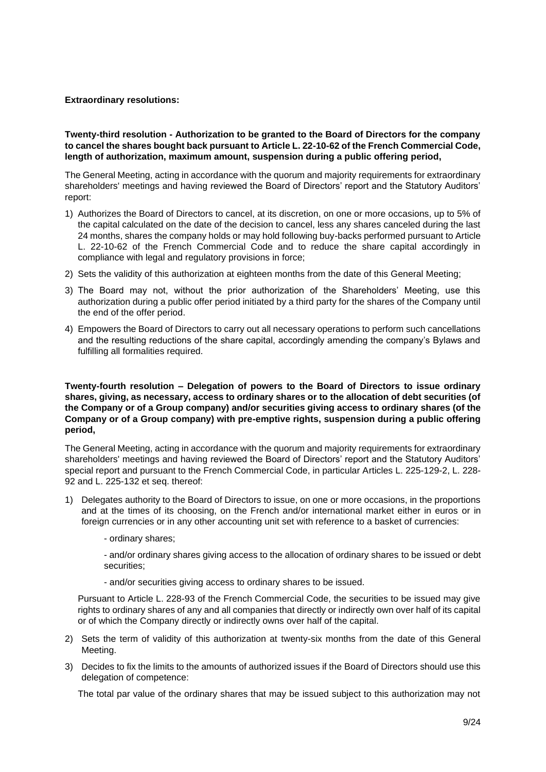# **Extraordinary resolutions:**

# **Twenty-third resolution - Authorization to be granted to the Board of Directors for the company to cancel the shares bought back pursuant to Article L. 22-10-62 of the French Commercial Code, length of authorization, maximum amount, suspension during a public offering period,**

The General Meeting, acting in accordance with the quorum and majority requirements for extraordinary shareholders' meetings and having reviewed the Board of Directors' report and the Statutory Auditors' report:

- 1) Authorizes the Board of Directors to cancel, at its discretion, on one or more occasions, up to 5% of the capital calculated on the date of the decision to cancel, less any shares canceled during the last 24 months, shares the company holds or may hold following buy-backs performed pursuant to Article L. 22-10-62 of the French Commercial Code and to reduce the share capital accordingly in compliance with legal and regulatory provisions in force;
- 2) Sets the validity of this authorization at eighteen months from the date of this General Meeting;
- 3) The Board may not, without the prior authorization of the Shareholders' Meeting, use this authorization during a public offer period initiated by a third party for the shares of the Company until the end of the offer period.
- 4) Empowers the Board of Directors to carry out all necessary operations to perform such cancellations and the resulting reductions of the share capital, accordingly amending the company's Bylaws and fulfilling all formalities required.

#### **Twenty-fourth resolution – Delegation of powers to the Board of Directors to issue ordinary shares, giving, as necessary, access to ordinary shares or to the allocation of debt securities (of the Company or of a Group company) and/or securities giving access to ordinary shares (of the Company or of a Group company) with pre-emptive rights, suspension during a public offering period,**

The General Meeting, acting in accordance with the quorum and majority requirements for extraordinary shareholders' meetings and having reviewed the Board of Directors' report and the Statutory Auditors' special report and pursuant to the French Commercial Code, in particular Articles L. 225-129-2, L. 228- 92 and L. 225-132 et seq. thereof:

- 1) Delegates authority to the Board of Directors to issue, on one or more occasions, in the proportions and at the times of its choosing, on the French and/or international market either in euros or in foreign currencies or in any other accounting unit set with reference to a basket of currencies:
	- ordinary shares;

- and/or ordinary shares giving access to the allocation of ordinary shares to be issued or debt securities;

- and/or securities giving access to ordinary shares to be issued.

Pursuant to Article L. 228-93 of the French Commercial Code, the securities to be issued may give rights to ordinary shares of any and all companies that directly or indirectly own over half of its capital or of which the Company directly or indirectly owns over half of the capital.

- 2) Sets the term of validity of this authorization at twenty-six months from the date of this General Meeting.
- 3) Decides to fix the limits to the amounts of authorized issues if the Board of Directors should use this delegation of competence:

The total par value of the ordinary shares that may be issued subject to this authorization may not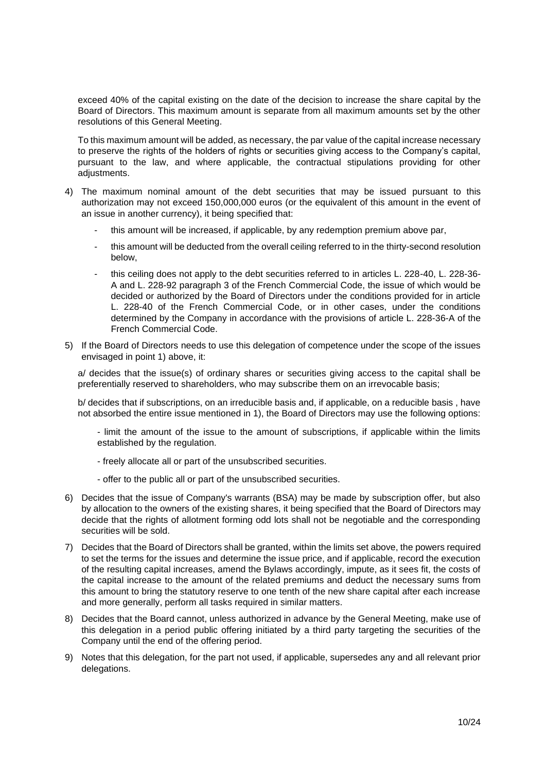exceed 40% of the capital existing on the date of the decision to increase the share capital by the Board of Directors. This maximum amount is separate from all maximum amounts set by the other resolutions of this General Meeting.

To this maximum amount will be added, as necessary, the par value of the capital increase necessary to preserve the rights of the holders of rights or securities giving access to the Company's capital, pursuant to the law, and where applicable, the contractual stipulations providing for other adjustments.

- 4) The maximum nominal amount of the debt securities that may be issued pursuant to this authorization may not exceed 150,000,000 euros (or the equivalent of this amount in the event of an issue in another currency), it being specified that:
	- this amount will be increased, if applicable, by any redemption premium above par,
	- this amount will be deducted from the overall ceiling referred to in the thirty-second resolution below,
	- this ceiling does not apply to the debt securities referred to in articles L. 228-40, L. 228-36-A and L. 228-92 paragraph 3 of the French Commercial Code, the issue of which would be decided or authorized by the Board of Directors under the conditions provided for in article L. 228-40 of the French Commercial Code, or in other cases, under the conditions determined by the Company in accordance with the provisions of article L. 228-36-A of the French Commercial Code.
- 5) If the Board of Directors needs to use this delegation of competence under the scope of the issues envisaged in point 1) above, it:

a/ decides that the issue(s) of ordinary shares or securities giving access to the capital shall be preferentially reserved to shareholders, who may subscribe them on an irrevocable basis;

b/ decides that if subscriptions, on an irreducible basis and, if applicable, on a reducible basis , have not absorbed the entire issue mentioned in 1), the Board of Directors may use the following options:

- limit the amount of the issue to the amount of subscriptions, if applicable within the limits established by the regulation.
- freely allocate all or part of the unsubscribed securities.
- offer to the public all or part of the unsubscribed securities.
- 6) Decides that the issue of Company's warrants (BSA) may be made by subscription offer, but also by allocation to the owners of the existing shares, it being specified that the Board of Directors may decide that the rights of allotment forming odd lots shall not be negotiable and the corresponding securities will be sold.
- 7) Decides that the Board of Directors shall be granted, within the limits set above, the powers required to set the terms for the issues and determine the issue price, and if applicable, record the execution of the resulting capital increases, amend the Bylaws accordingly, impute, as it sees fit, the costs of the capital increase to the amount of the related premiums and deduct the necessary sums from this amount to bring the statutory reserve to one tenth of the new share capital after each increase and more generally, perform all tasks required in similar matters.
- 8) Decides that the Board cannot, unless authorized in advance by the General Meeting, make use of this delegation in a period public offering initiated by a third party targeting the securities of the Company until the end of the offering period.
- 9) Notes that this delegation, for the part not used, if applicable, supersedes any and all relevant prior delegations.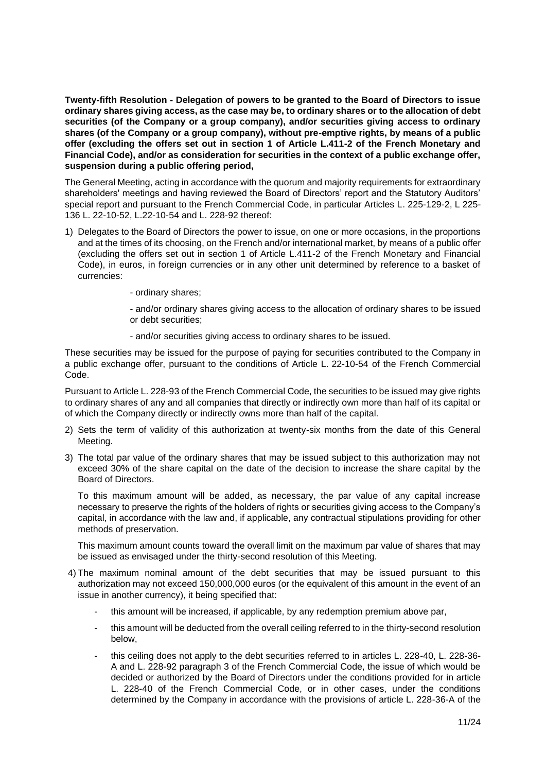**Twenty-fifth Resolution - Delegation of powers to be granted to the Board of Directors to issue ordinary shares giving access, as the case may be, to ordinary shares or to the allocation of debt securities (of the Company or a group company), and/or securities giving access to ordinary shares (of the Company or a group company), without pre-emptive rights, by means of a public offer (excluding the offers set out in section 1 of Article L.411-2 of the French Monetary and Financial Code), and/or as consideration for securities in the context of a public exchange offer, suspension during a public offering period,**

The General Meeting, acting in accordance with the quorum and majority requirements for extraordinary shareholders' meetings and having reviewed the Board of Directors' report and the Statutory Auditors' special report and pursuant to the French Commercial Code, in particular Articles L. 225-129-2, L 225- 136 L. 22-10-52, L.22-10-54 and L. 228-92 thereof:

- 1) Delegates to the Board of Directors the power to issue, on one or more occasions, in the proportions and at the times of its choosing, on the French and/or international market, by means of a public offer (excluding the offers set out in section 1 of Article L.411-2 of the French Monetary and Financial Code), in euros, in foreign currencies or in any other unit determined by reference to a basket of currencies:
	- ordinary shares;

- and/or ordinary shares giving access to the allocation of ordinary shares to be issued or debt securities;

- and/or securities giving access to ordinary shares to be issued.

These securities may be issued for the purpose of paying for securities contributed to the Company in a public exchange offer, pursuant to the conditions of Article L. 22-10-54 of the French Commercial Code.

Pursuant to Article L. 228-93 of the French Commercial Code, the securities to be issued may give rights to ordinary shares of any and all companies that directly or indirectly own more than half of its capital or of which the Company directly or indirectly owns more than half of the capital.

- 2) Sets the term of validity of this authorization at twenty-six months from the date of this General Meeting.
- 3) The total par value of the ordinary shares that may be issued subject to this authorization may not exceed 30% of the share capital on the date of the decision to increase the share capital by the Board of Directors.

To this maximum amount will be added, as necessary, the par value of any capital increase necessary to preserve the rights of the holders of rights or securities giving access to the Company's capital, in accordance with the law and, if applicable, any contractual stipulations providing for other methods of preservation.

This maximum amount counts toward the overall limit on the maximum par value of shares that may be issued as envisaged under the thirty-second resolution of this Meeting.

- 4) The maximum nominal amount of the debt securities that may be issued pursuant to this authorization may not exceed 150,000,000 euros (or the equivalent of this amount in the event of an issue in another currency), it being specified that:
	- this amount will be increased, if applicable, by any redemption premium above par,
	- this amount will be deducted from the overall ceiling referred to in the thirty-second resolution below,
	- this ceiling does not apply to the debt securities referred to in articles L. 228-40, L. 228-36-A and L. 228-92 paragraph 3 of the French Commercial Code, the issue of which would be decided or authorized by the Board of Directors under the conditions provided for in article L. 228-40 of the French Commercial Code, or in other cases, under the conditions determined by the Company in accordance with the provisions of article L. 228-36-A of the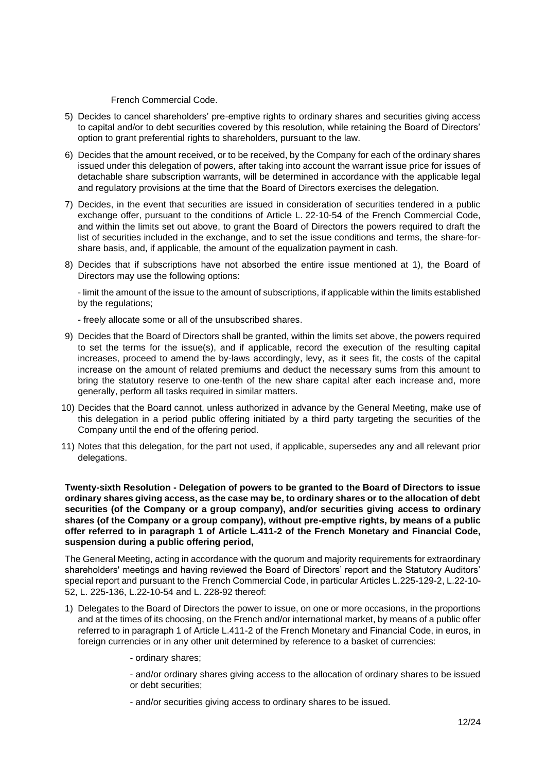French Commercial Code.

- 5) Decides to cancel shareholders' pre-emptive rights to ordinary shares and securities giving access to capital and/or to debt securities covered by this resolution, while retaining the Board of Directors' option to grant preferential rights to shareholders, pursuant to the law.
- 6) Decides that the amount received, or to be received, by the Company for each of the ordinary shares issued under this delegation of powers, after taking into account the warrant issue price for issues of detachable share subscription warrants, will be determined in accordance with the applicable legal and regulatory provisions at the time that the Board of Directors exercises the delegation.
- 7) Decides, in the event that securities are issued in consideration of securities tendered in a public exchange offer, pursuant to the conditions of Article L. 22-10-54 of the French Commercial Code, and within the limits set out above, to grant the Board of Directors the powers required to draft the list of securities included in the exchange, and to set the issue conditions and terms, the share-forshare basis, and, if applicable, the amount of the equalization payment in cash.
- 8) Decides that if subscriptions have not absorbed the entire issue mentioned at 1), the Board of Directors may use the following options:

- limit the amount of the issue to the amount of subscriptions, if applicable within the limits established by the regulations;

- freely allocate some or all of the unsubscribed shares.

- 9) Decides that the Board of Directors shall be granted, within the limits set above, the powers required to set the terms for the issue(s), and if applicable, record the execution of the resulting capital increases, proceed to amend the by-laws accordingly, levy, as it sees fit, the costs of the capital increase on the amount of related premiums and deduct the necessary sums from this amount to bring the statutory reserve to one-tenth of the new share capital after each increase and, more generally, perform all tasks required in similar matters.
- 10) Decides that the Board cannot, unless authorized in advance by the General Meeting, make use of this delegation in a period public offering initiated by a third party targeting the securities of the Company until the end of the offering period.
- 11) Notes that this delegation, for the part not used, if applicable, supersedes any and all relevant prior delegations.

**Twenty-sixth Resolution - Delegation of powers to be granted to the Board of Directors to issue ordinary shares giving access, as the case may be, to ordinary shares or to the allocation of debt securities (of the Company or a group company), and/or securities giving access to ordinary shares (of the Company or a group company), without pre-emptive rights, by means of a public offer referred to in paragraph 1 of Article L.411-2 of the French Monetary and Financial Code, suspension during a public offering period,**

The General Meeting, acting in accordance with the quorum and majority requirements for extraordinary shareholders' meetings and having reviewed the Board of Directors' report and the Statutory Auditors' special report and pursuant to the French Commercial Code, in particular Articles L.225-129-2, L.22-10- 52, L. 225-136, L.22-10-54 and L. 228-92 thereof:

- 1) Delegates to the Board of Directors the power to issue, on one or more occasions, in the proportions and at the times of its choosing, on the French and/or international market, by means of a public offer referred to in paragraph 1 of Article L.411-2 of the French Monetary and Financial Code, in euros, in foreign currencies or in any other unit determined by reference to a basket of currencies:
	- ordinary shares;

- and/or ordinary shares giving access to the allocation of ordinary shares to be issued or debt securities;

- and/or securities giving access to ordinary shares to be issued.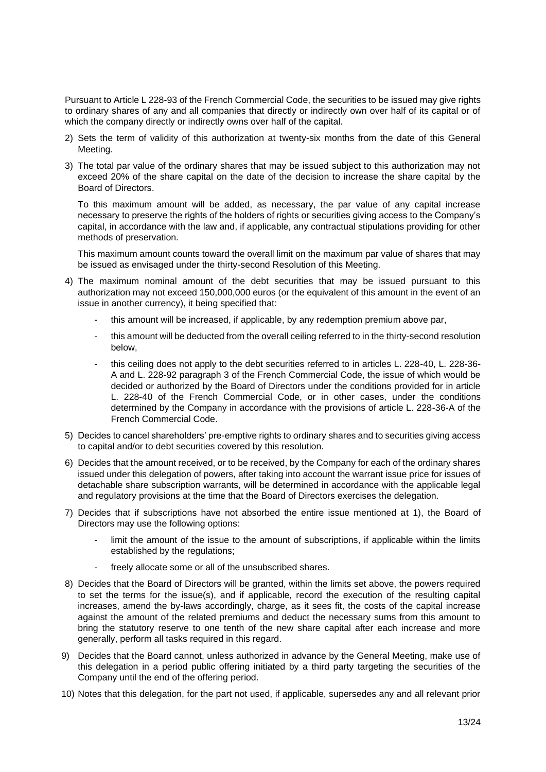Pursuant to Article L 228-93 of the French Commercial Code, the securities to be issued may give rights to ordinary shares of any and all companies that directly or indirectly own over half of its capital or of which the company directly or indirectly owns over half of the capital.

- 2) Sets the term of validity of this authorization at twenty-six months from the date of this General Meeting.
- 3) The total par value of the ordinary shares that may be issued subject to this authorization may not exceed 20% of the share capital on the date of the decision to increase the share capital by the Board of Directors.

To this maximum amount will be added, as necessary, the par value of any capital increase necessary to preserve the rights of the holders of rights or securities giving access to the Company's capital, in accordance with the law and, if applicable, any contractual stipulations providing for other methods of preservation.

This maximum amount counts toward the overall limit on the maximum par value of shares that may be issued as envisaged under the thirty-second Resolution of this Meeting.

- 4) The maximum nominal amount of the debt securities that may be issued pursuant to this authorization may not exceed 150,000,000 euros (or the equivalent of this amount in the event of an issue in another currency), it being specified that:
	- this amount will be increased, if applicable, by any redemption premium above par,
	- this amount will be deducted from the overall ceiling referred to in the thirty-second resolution below,
	- this ceiling does not apply to the debt securities referred to in articles L. 228-40, L. 228-36-A and L. 228-92 paragraph 3 of the French Commercial Code, the issue of which would be decided or authorized by the Board of Directors under the conditions provided for in article L. 228-40 of the French Commercial Code, or in other cases, under the conditions determined by the Company in accordance with the provisions of article L. 228-36-A of the French Commercial Code.
- 5) Decides to cancel shareholders' pre-emptive rights to ordinary shares and to securities giving access to capital and/or to debt securities covered by this resolution.
- 6) Decides that the amount received, or to be received, by the Company for each of the ordinary shares issued under this delegation of powers, after taking into account the warrant issue price for issues of detachable share subscription warrants, will be determined in accordance with the applicable legal and regulatory provisions at the time that the Board of Directors exercises the delegation.
- 7) Decides that if subscriptions have not absorbed the entire issue mentioned at 1), the Board of Directors may use the following options:
	- limit the amount of the issue to the amount of subscriptions, if applicable within the limits established by the regulations;
	- freely allocate some or all of the unsubscribed shares.
- 8) Decides that the Board of Directors will be granted, within the limits set above, the powers required to set the terms for the issue(s), and if applicable, record the execution of the resulting capital increases, amend the by-laws accordingly, charge, as it sees fit, the costs of the capital increase against the amount of the related premiums and deduct the necessary sums from this amount to bring the statutory reserve to one tenth of the new share capital after each increase and more generally, perform all tasks required in this regard.
- 9) Decides that the Board cannot, unless authorized in advance by the General Meeting, make use of this delegation in a period public offering initiated by a third party targeting the securities of the Company until the end of the offering period.
- 10) Notes that this delegation, for the part not used, if applicable, supersedes any and all relevant prior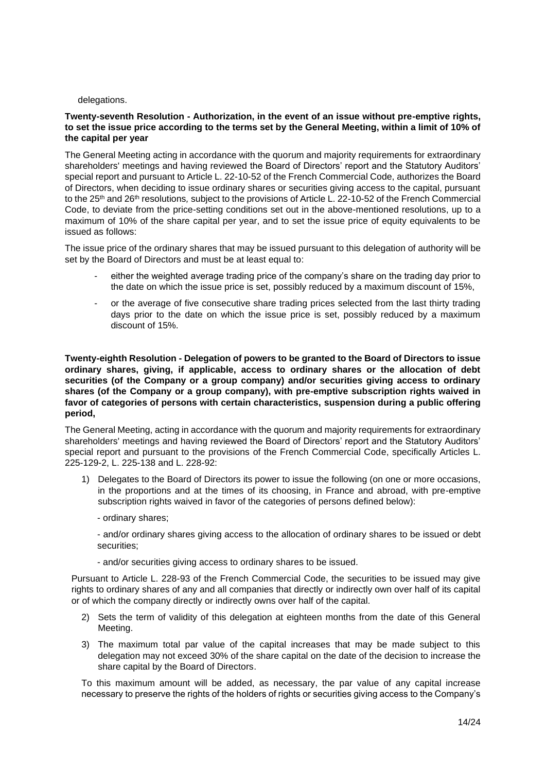#### delegations.

# **Twenty-seventh Resolution - Authorization, in the event of an issue without pre-emptive rights, to set the issue price according to the terms set by the General Meeting, within a limit of 10% of the capital per year**

The General Meeting acting in accordance with the quorum and majority requirements for extraordinary shareholders' meetings and having reviewed the Board of Directors' report and the Statutory Auditors' special report and pursuant to Article L. 22-10-52 of the French Commercial Code, authorizes the Board of Directors, when deciding to issue ordinary shares or securities giving access to the capital, pursuant to the 25<sup>th</sup> and 26<sup>th</sup> resolutions, subject to the provisions of Article L. 22-10-52 of the French Commercial Code, to deviate from the price-setting conditions set out in the above-mentioned resolutions, up to a maximum of 10% of the share capital per year, and to set the issue price of equity equivalents to be issued as follows:

The issue price of the ordinary shares that may be issued pursuant to this delegation of authority will be set by the Board of Directors and must be at least equal to:

- either the weighted average trading price of the company's share on the trading day prior to the date on which the issue price is set, possibly reduced by a maximum discount of 15%,
- or the average of five consecutive share trading prices selected from the last thirty trading days prior to the date on which the issue price is set, possibly reduced by a maximum discount of 15%.

**Twenty-eighth Resolution - Delegation of powers to be granted to the Board of Directors to issue ordinary shares, giving, if applicable, access to ordinary shares or the allocation of debt securities (of the Company or a group company) and/or securities giving access to ordinary shares (of the Company or a group company), with pre-emptive subscription rights waived in favor of categories of persons with certain characteristics, suspension during a public offering period,**

The General Meeting, acting in accordance with the quorum and majority requirements for extraordinary shareholders' meetings and having reviewed the Board of Directors' report and the Statutory Auditors' special report and pursuant to the provisions of the French Commercial Code, specifically Articles L. 225-129-2, L. 225-138 and L. 228-92:

- 1) Delegates to the Board of Directors its power to issue the following (on one or more occasions, in the proportions and at the times of its choosing, in France and abroad, with pre-emptive subscription rights waived in favor of the categories of persons defined below):
	- ordinary shares;

- and/or ordinary shares giving access to the allocation of ordinary shares to be issued or debt securities;

- and/or securities giving access to ordinary shares to be issued.

Pursuant to Article L. 228-93 of the French Commercial Code, the securities to be issued may give rights to ordinary shares of any and all companies that directly or indirectly own over half of its capital or of which the company directly or indirectly owns over half of the capital.

- 2) Sets the term of validity of this delegation at eighteen months from the date of this General Meeting.
- 3) The maximum total par value of the capital increases that may be made subject to this delegation may not exceed 30% of the share capital on the date of the decision to increase the share capital by the Board of Directors.

To this maximum amount will be added, as necessary, the par value of any capital increase necessary to preserve the rights of the holders of rights or securities giving access to the Company's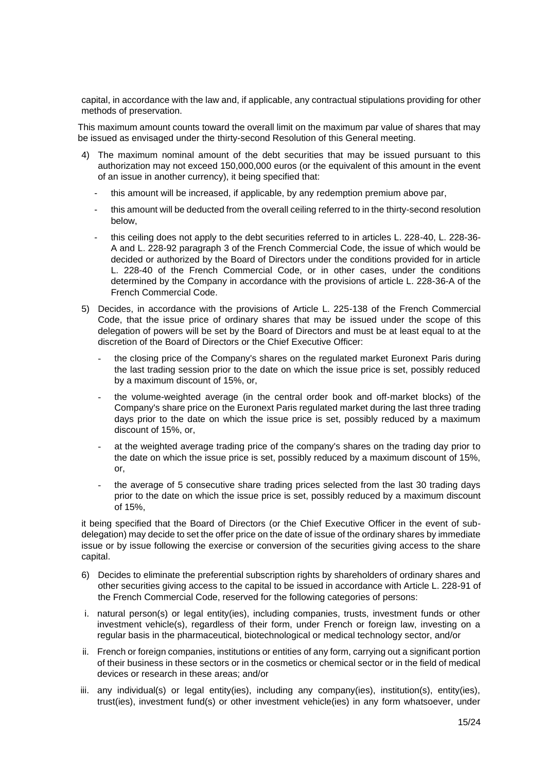capital, in accordance with the law and, if applicable, any contractual stipulations providing for other methods of preservation.

This maximum amount counts toward the overall limit on the maximum par value of shares that may be issued as envisaged under the thirty-second Resolution of this General meeting.

- 4) The maximum nominal amount of the debt securities that may be issued pursuant to this authorization may not exceed 150,000,000 euros (or the equivalent of this amount in the event of an issue in another currency), it being specified that:
	- this amount will be increased, if applicable, by any redemption premium above par,
	- this amount will be deducted from the overall ceiling referred to in the thirty-second resolution below,
	- this ceiling does not apply to the debt securities referred to in articles L. 228-40, L. 228-36- A and L. 228-92 paragraph 3 of the French Commercial Code, the issue of which would be decided or authorized by the Board of Directors under the conditions provided for in article L. 228-40 of the French Commercial Code, or in other cases, under the conditions determined by the Company in accordance with the provisions of article L. 228-36-A of the French Commercial Code.
- 5) Decides, in accordance with the provisions of Article L. 225-138 of the French Commercial Code, that the issue price of ordinary shares that may be issued under the scope of this delegation of powers will be set by the Board of Directors and must be at least equal to at the discretion of the Board of Directors or the Chief Executive Officer:
	- the closing price of the Company's shares on the regulated market Euronext Paris during the last trading session prior to the date on which the issue price is set, possibly reduced by a maximum discount of 15%, or,
	- the volume-weighted average (in the central order book and off-market blocks) of the Company's share price on the Euronext Paris regulated market during the last three trading days prior to the date on which the issue price is set, possibly reduced by a maximum discount of 15%, or,
	- at the weighted average trading price of the company's shares on the trading day prior to the date on which the issue price is set, possibly reduced by a maximum discount of 15%, or,
	- the average of 5 consecutive share trading prices selected from the last 30 trading days prior to the date on which the issue price is set, possibly reduced by a maximum discount of 15%,

it being specified that the Board of Directors (or the Chief Executive Officer in the event of subdelegation) may decide to set the offer price on the date of issue of the ordinary shares by immediate issue or by issue following the exercise or conversion of the securities giving access to the share capital.

- 6) Decides to eliminate the preferential subscription rights by shareholders of ordinary shares and other securities giving access to the capital to be issued in accordance with Article L. 228-91 of the French Commercial Code, reserved for the following categories of persons:
- i. natural person(s) or legal entity(ies), including companies, trusts, investment funds or other investment vehicle(s), regardless of their form, under French or foreign law, investing on a regular basis in the pharmaceutical, biotechnological or medical technology sector, and/or
- ii. French or foreign companies, institutions or entities of any form, carrying out a significant portion of their business in these sectors or in the cosmetics or chemical sector or in the field of medical devices or research in these areas; and/or
- iii. any individual(s) or legal entity(ies), including any company(ies), institution(s), entity(ies), trust(ies), investment fund(s) or other investment vehicle(ies) in any form whatsoever, under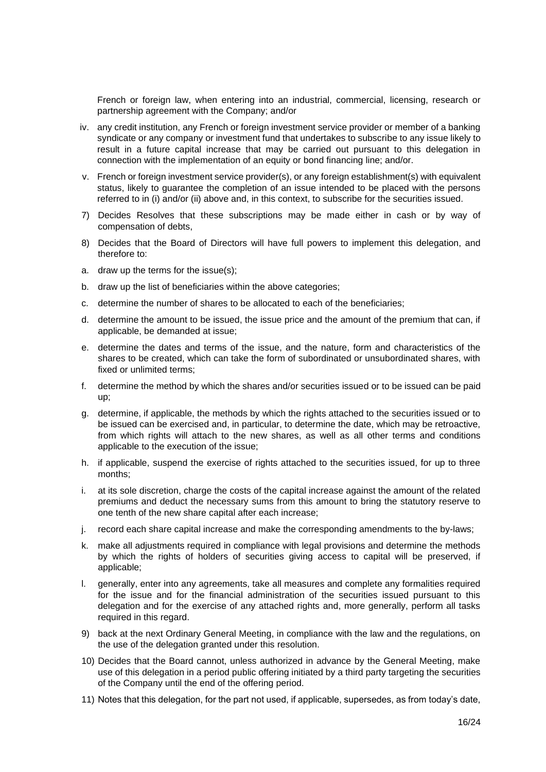French or foreign law, when entering into an industrial, commercial, licensing, research or partnership agreement with the Company; and/or

- iv. any credit institution, any French or foreign investment service provider or member of a banking syndicate or any company or investment fund that undertakes to subscribe to any issue likely to result in a future capital increase that may be carried out pursuant to this delegation in connection with the implementation of an equity or bond financing line; and/or.
- v. French or foreign investment service provider(s), or any foreign establishment(s) with equivalent status, likely to guarantee the completion of an issue intended to be placed with the persons referred to in (i) and/or (ii) above and, in this context, to subscribe for the securities issued.
- 7) Decides Resolves that these subscriptions may be made either in cash or by way of compensation of debts,
- 8) Decides that the Board of Directors will have full powers to implement this delegation, and therefore to:
- a. draw up the terms for the issue(s);
- b. draw up the list of beneficiaries within the above categories;
- c. determine the number of shares to be allocated to each of the beneficiaries;
- d. determine the amount to be issued, the issue price and the amount of the premium that can, if applicable, be demanded at issue;
- e. determine the dates and terms of the issue, and the nature, form and characteristics of the shares to be created, which can take the form of subordinated or unsubordinated shares, with fixed or unlimited terms;
- f. determine the method by which the shares and/or securities issued or to be issued can be paid up;
- g. determine, if applicable, the methods by which the rights attached to the securities issued or to be issued can be exercised and, in particular, to determine the date, which may be retroactive, from which rights will attach to the new shares, as well as all other terms and conditions applicable to the execution of the issue;
- h. if applicable, suspend the exercise of rights attached to the securities issued, for up to three months;
- i. at its sole discretion, charge the costs of the capital increase against the amount of the related premiums and deduct the necessary sums from this amount to bring the statutory reserve to one tenth of the new share capital after each increase;
- j. record each share capital increase and make the corresponding amendments to the by-laws;
- k. make all adjustments required in compliance with legal provisions and determine the methods by which the rights of holders of securities giving access to capital will be preserved, if applicable;
- l. generally, enter into any agreements, take all measures and complete any formalities required for the issue and for the financial administration of the securities issued pursuant to this delegation and for the exercise of any attached rights and, more generally, perform all tasks required in this regard.
- 9) back at the next Ordinary General Meeting, in compliance with the law and the regulations, on the use of the delegation granted under this resolution.
- 10) Decides that the Board cannot, unless authorized in advance by the General Meeting, make use of this delegation in a period public offering initiated by a third party targeting the securities of the Company until the end of the offering period.
- 11) Notes that this delegation, for the part not used, if applicable, supersedes, as from today's date,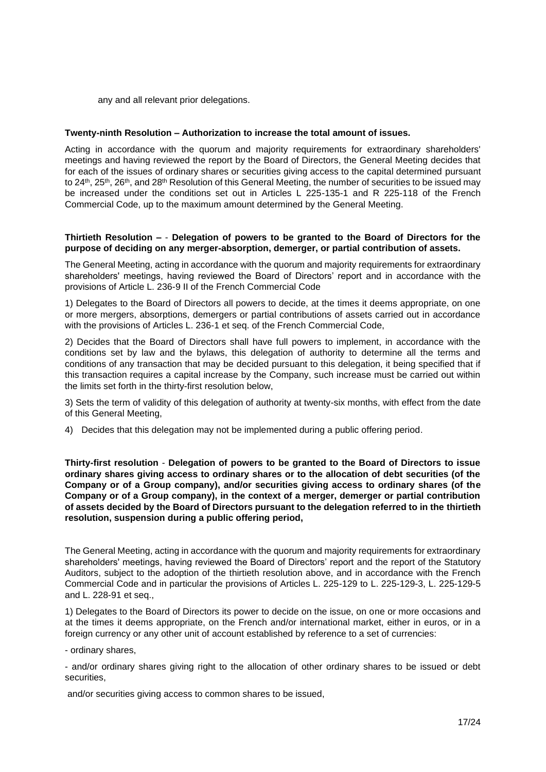any and all relevant prior delegations.

#### **Twenty-ninth Resolution – Authorization to increase the total amount of issues.**

Acting in accordance with the quorum and majority requirements for extraordinary shareholders' meetings and having reviewed the report by the Board of Directors, the General Meeting decides that for each of the issues of ordinary shares or securities giving access to the capital determined pursuant to 24<sup>th</sup>, 25<sup>th</sup>, 26<sup>th</sup>, and 28<sup>th</sup> Resolution of this General Meeting, the number of securities to be issued may be increased under the conditions set out in Articles L 225-135-1 and R 225-118 of the French Commercial Code, up to the maximum amount determined by the General Meeting.

#### **Thirtieth Resolution –** - **Delegation of powers to be granted to the Board of Directors for the purpose of deciding on any merger-absorption, demerger, or partial contribution of assets.**

The General Meeting, acting in accordance with the quorum and majority requirements for extraordinary shareholders' meetings, having reviewed the Board of Directors' report and in accordance with the provisions of Article L. 236-9 II of the French Commercial Code

1) Delegates to the Board of Directors all powers to decide, at the times it deems appropriate, on one or more mergers, absorptions, demergers or partial contributions of assets carried out in accordance with the provisions of Articles L. 236-1 et seq. of the French Commercial Code,

2) Decides that the Board of Directors shall have full powers to implement, in accordance with the conditions set by law and the bylaws, this delegation of authority to determine all the terms and conditions of any transaction that may be decided pursuant to this delegation, it being specified that if this transaction requires a capital increase by the Company, such increase must be carried out within the limits set forth in the thirty-first resolution below,

3) Sets the term of validity of this delegation of authority at twenty-six months, with effect from the date of this General Meeting,

4) Decides that this delegation may not be implemented during a public offering period.

**Thirty-first resolution** - **Delegation of powers to be granted to the Board of Directors to issue ordinary shares giving access to ordinary shares or to the allocation of debt securities (of the Company or of a Group company), and/or securities giving access to ordinary shares (of the Company or of a Group company), in the context of a merger, demerger or partial contribution of assets decided by the Board of Directors pursuant to the delegation referred to in the thirtieth resolution, suspension during a public offering period,**

The General Meeting, acting in accordance with the quorum and majority requirements for extraordinary shareholders' meetings, having reviewed the Board of Directors' report and the report of the Statutory Auditors, subject to the adoption of the thirtieth resolution above, and in accordance with the French Commercial Code and in particular the provisions of Articles L. 225-129 to L. 225-129-3, L. 225-129-5 and L. 228-91 et seq.,

1) Delegates to the Board of Directors its power to decide on the issue, on one or more occasions and at the times it deems appropriate, on the French and/or international market, either in euros, or in a foreign currency or any other unit of account established by reference to a set of currencies:

- ordinary shares,

- and/or ordinary shares giving right to the allocation of other ordinary shares to be issued or debt securities,

and/or securities giving access to common shares to be issued,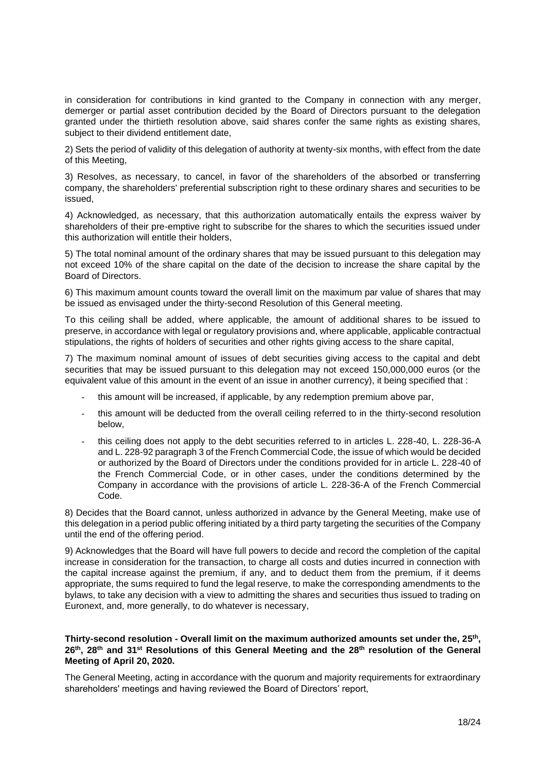in consideration for contributions in kind granted to the Company in connection with any merger, demerger or partial asset contribution decided by the Board of Directors pursuant to the delegation granted under the thirtieth resolution above, said shares confer the same rights as existing shares, subject to their dividend entitlement date,

2) Sets the period of validity of this delegation of authority at twenty-six months, with effect from the date of this Meeting,

3) Resolves, as necessary, to cancel, in favor of the shareholders of the absorbed or transferring company, the shareholders' preferential subscription right to these ordinary shares and securities to be issued,

4) Acknowledged, as necessary, that this authorization automatically entails the express waiver by shareholders of their pre-emptive right to subscribe for the shares to which the securities issued under this authorization will entitle their holders,

5) The total nominal amount of the ordinary shares that may be issued pursuant to this delegation may not exceed 10% of the share capital on the date of the decision to increase the share capital by the Board of Directors.

6) This maximum amount counts toward the overall limit on the maximum par value of shares that may be issued as envisaged under the thirty-second Resolution of this General meeting.

To this ceiling shall be added, where applicable, the amount of additional shares to be issued to preserve, in accordance with legal or regulatory provisions and, where applicable, applicable contractual stipulations, the rights of holders of securities and other rights giving access to the share capital,

7) The maximum nominal amount of issues of debt securities giving access to the capital and debt securities that may be issued pursuant to this delegation may not exceed 150,000,000 euros (or the equivalent value of this amount in the event of an issue in another currency), it being specified that :

- this amount will be increased, if applicable, by any redemption premium above par,
- this amount will be deducted from the overall ceiling referred to in the thirty-second resolution below,
- this ceiling does not apply to the debt securities referred to in articles L. 228-40, L. 228-36-A and L. 228-92 paragraph 3 of the French Commercial Code, the issue of which would be decided or authorized by the Board of Directors under the conditions provided for in article L. 228-40 of the French Commercial Code, or in other cases, under the conditions determined by the Company in accordance with the provisions of article L. 228-36-A of the French Commercial Code.

8) Decides that the Board cannot, unless authorized in advance by the General Meeting, make use of this delegation in a period public offering initiated by a third party targeting the securities of the Company until the end of the offering period.

9) Acknowledges that the Board will have full powers to decide and record the completion of the capital increase in consideration for the transaction, to charge all costs and duties incurred in connection with the capital increase against the premium, if any, and to deduct them from the premium, if it deems appropriate, the sums required to fund the legal reserve, to make the corresponding amendments to the bylaws, to take any decision with a view to admitting the shares and securities thus issued to trading on Euronext, and, more generally, to do whatever is necessary,

# **Thirty-second resolution - Overall limit on the maximum authorized amounts set under the, 25 th , 26th , 28 th and 31 st Resolutions of this General Meeting and the 28th resolution of the General Meeting of April 20, 2020.**

The General Meeting, acting in accordance with the quorum and majority requirements for extraordinary shareholders' meetings and having reviewed the Board of Directors' report,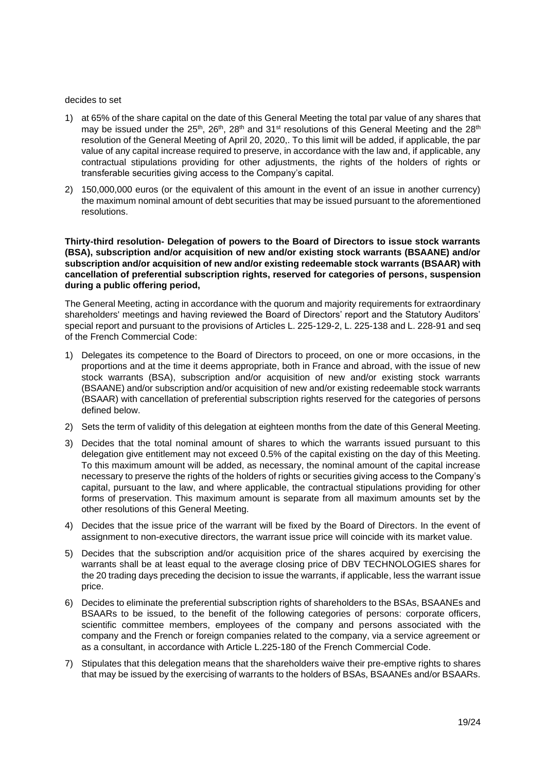#### decides to set

- 1) at 65% of the share capital on the date of this General Meeting the total par value of any shares that may be issued under the 25<sup>th</sup>, 26<sup>th</sup>, 28<sup>th</sup> and 31<sup>st</sup> resolutions of this General Meeting and the 28<sup>th</sup> resolution of the General Meeting of April 20, 2020,. To this limit will be added, if applicable, the par value of any capital increase required to preserve, in accordance with the law and, if applicable, any contractual stipulations providing for other adjustments, the rights of the holders of rights or transferable securities giving access to the Company's capital.
- 2) 150,000,000 euros (or the equivalent of this amount in the event of an issue in another currency) the maximum nominal amount of debt securities that may be issued pursuant to the aforementioned resolutions.

**Thirty-third resolution- Delegation of powers to the Board of Directors to issue stock warrants (BSA), subscription and/or acquisition of new and/or existing stock warrants (BSAANE) and/or subscription and/or acquisition of new and/or existing redeemable stock warrants (BSAAR) with cancellation of preferential subscription rights, reserved for categories of persons, suspension during a public offering period,**

The General Meeting, acting in accordance with the quorum and majority requirements for extraordinary shareholders' meetings and having reviewed the Board of Directors' report and the Statutory Auditors' special report and pursuant to the provisions of Articles L. 225-129-2, L. 225-138 and L. 228-91 and seq of the French Commercial Code:

- 1) Delegates its competence to the Board of Directors to proceed, on one or more occasions, in the proportions and at the time it deems appropriate, both in France and abroad, with the issue of new stock warrants (BSA), subscription and/or acquisition of new and/or existing stock warrants (BSAANE) and/or subscription and/or acquisition of new and/or existing redeemable stock warrants (BSAAR) with cancellation of preferential subscription rights reserved for the categories of persons defined below.
- 2) Sets the term of validity of this delegation at eighteen months from the date of this General Meeting.
- 3) Decides that the total nominal amount of shares to which the warrants issued pursuant to this delegation give entitlement may not exceed 0.5% of the capital existing on the day of this Meeting. To this maximum amount will be added, as necessary, the nominal amount of the capital increase necessary to preserve the rights of the holders of rights or securities giving access to the Company's capital, pursuant to the law, and where applicable, the contractual stipulations providing for other forms of preservation. This maximum amount is separate from all maximum amounts set by the other resolutions of this General Meeting.
- 4) Decides that the issue price of the warrant will be fixed by the Board of Directors. In the event of assignment to non-executive directors, the warrant issue price will coincide with its market value.
- 5) Decides that the subscription and/or acquisition price of the shares acquired by exercising the warrants shall be at least equal to the average closing price of DBV TECHNOLOGIES shares for the 20 trading days preceding the decision to issue the warrants, if applicable, less the warrant issue price.
- 6) Decides to eliminate the preferential subscription rights of shareholders to the BSAs, BSAANEs and BSAARs to be issued, to the benefit of the following categories of persons: corporate officers, scientific committee members, employees of the company and persons associated with the company and the French or foreign companies related to the company, via a service agreement or as a consultant, in accordance with Article L.225-180 of the French Commercial Code.
- 7) Stipulates that this delegation means that the shareholders waive their pre-emptive rights to shares that may be issued by the exercising of warrants to the holders of BSAs, BSAANEs and/or BSAARs.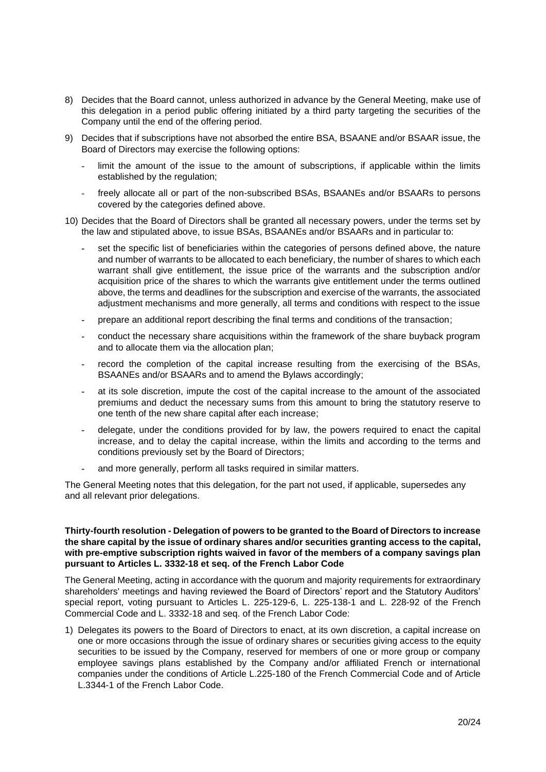- 8) Decides that the Board cannot, unless authorized in advance by the General Meeting, make use of this delegation in a period public offering initiated by a third party targeting the securities of the Company until the end of the offering period.
- 9) Decides that if subscriptions have not absorbed the entire BSA, BSAANE and/or BSAAR issue, the Board of Directors may exercise the following options:
	- limit the amount of the issue to the amount of subscriptions, if applicable within the limits established by the regulation;
	- freely allocate all or part of the non-subscribed BSAs, BSAANEs and/or BSAARs to persons covered by the categories defined above.
- 10) Decides that the Board of Directors shall be granted all necessary powers, under the terms set by the law and stipulated above, to issue BSAs, BSAANEs and/or BSAARs and in particular to:
	- **-** set the specific list of beneficiaries within the categories of persons defined above, the nature and number of warrants to be allocated to each beneficiary, the number of shares to which each warrant shall give entitlement, the issue price of the warrants and the subscription and/or acquisition price of the shares to which the warrants give entitlement under the terms outlined above, the terms and deadlines for the subscription and exercise of the warrants, the associated adjustment mechanisms and more generally, all terms and conditions with respect to the issue
	- **-** prepare an additional report describing the final terms and conditions of the transaction;
	- **-** conduct the necessary share acquisitions within the framework of the share buyback program and to allocate them via the allocation plan;
	- **-** record the completion of the capital increase resulting from the exercising of the BSAs, BSAANEs and/or BSAARs and to amend the Bylaws accordingly;
	- **-** at its sole discretion, impute the cost of the capital increase to the amount of the associated premiums and deduct the necessary sums from this amount to bring the statutory reserve to one tenth of the new share capital after each increase;
	- **-** delegate, under the conditions provided for by law, the powers required to enact the capital increase, and to delay the capital increase, within the limits and according to the terms and conditions previously set by the Board of Directors;
	- **-** and more generally, perform all tasks required in similar matters.

The General Meeting notes that this delegation, for the part not used, if applicable, supersedes any and all relevant prior delegations.

#### **Thirty-fourth resolution - Delegation of powers to be granted to the Board of Directors to increase the share capital by the issue of ordinary shares and/or securities granting access to the capital, with pre-emptive subscription rights waived in favor of the members of a company savings plan pursuant to Articles L. 3332-18 et seq. of the French Labor Code**

The General Meeting, acting in accordance with the quorum and majority requirements for extraordinary shareholders' meetings and having reviewed the Board of Directors' report and the Statutory Auditors' special report, voting pursuant to Articles L. 225-129-6, L. 225-138-1 and L. 228-92 of the French Commercial Code and L. 3332-18 and seq. of the French Labor Code:

1) Delegates its powers to the Board of Directors to enact, at its own discretion, a capital increase on one or more occasions through the issue of ordinary shares or securities giving access to the equity securities to be issued by the Company, reserved for members of one or more group or company employee savings plans established by the Company and/or affiliated French or international companies under the conditions of Article L.225-180 of the French Commercial Code and of Article L.3344-1 of the French Labor Code.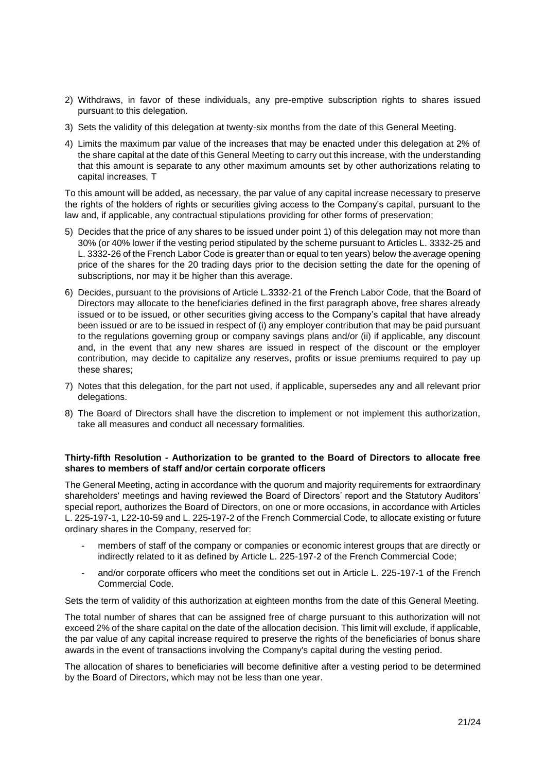- 2) Withdraws, in favor of these individuals, any pre-emptive subscription rights to shares issued pursuant to this delegation.
- 3) Sets the validity of this delegation at twenty-six months from the date of this General Meeting.
- 4) Limits the maximum par value of the increases that may be enacted under this delegation at 2% of the share capital at the date of this General Meeting to carry out this increase, with the understanding that this amount is separate to any other maximum amounts set by other authorizations relating to capital increases*.* T

To this amount will be added, as necessary, the par value of any capital increase necessary to preserve the rights of the holders of rights or securities giving access to the Company's capital, pursuant to the law and, if applicable, any contractual stipulations providing for other forms of preservation;

- 5) Decides that the price of any shares to be issued under point 1) of this delegation may not more than 30% (or 40% lower if the vesting period stipulated by the scheme pursuant to Articles L. 3332-25 and L. 3332-26 of the French Labor Code is greater than or equal to ten years) below the average opening price of the shares for the 20 trading days prior to the decision setting the date for the opening of subscriptions, nor may it be higher than this average.
- 6) Decides, pursuant to the provisions of Article L.3332-21 of the French Labor Code, that the Board of Directors may allocate to the beneficiaries defined in the first paragraph above, free shares already issued or to be issued, or other securities giving access to the Company's capital that have already been issued or are to be issued in respect of (i) any employer contribution that may be paid pursuant to the regulations governing group or company savings plans and/or (ii) if applicable, any discount and, in the event that any new shares are issued in respect of the discount or the employer contribution, may decide to capitalize any reserves, profits or issue premiums required to pay up these shares;
- 7) Notes that this delegation, for the part not used, if applicable, supersedes any and all relevant prior delegations.
- 8) The Board of Directors shall have the discretion to implement or not implement this authorization, take all measures and conduct all necessary formalities.

# **Thirty-fifth Resolution - Authorization to be granted to the Board of Directors to allocate free shares to members of staff and/or certain corporate officers**

The General Meeting, acting in accordance with the quorum and majority requirements for extraordinary shareholders' meetings and having reviewed the Board of Directors' report and the Statutory Auditors' special report, authorizes the Board of Directors, on one or more occasions, in accordance with Articles L. 225-197-1, L22-10-59 and L. 225-197-2 of the French Commercial Code, to allocate existing or future ordinary shares in the Company, reserved for:

- members of staff of the company or companies or economic interest groups that are directly or indirectly related to it as defined by Article L. 225-197-2 of the French Commercial Code;
- and/or corporate officers who meet the conditions set out in Article L. 225-197-1 of the French Commercial Code.

Sets the term of validity of this authorization at eighteen months from the date of this General Meeting.

The total number of shares that can be assigned free of charge pursuant to this authorization will not exceed 2% of the share capital on the date of the allocation decision. This limit will exclude, if applicable, the par value of any capital increase required to preserve the rights of the beneficiaries of bonus share awards in the event of transactions involving the Company's capital during the vesting period.

The allocation of shares to beneficiaries will become definitive after a vesting period to be determined by the Board of Directors, which may not be less than one year.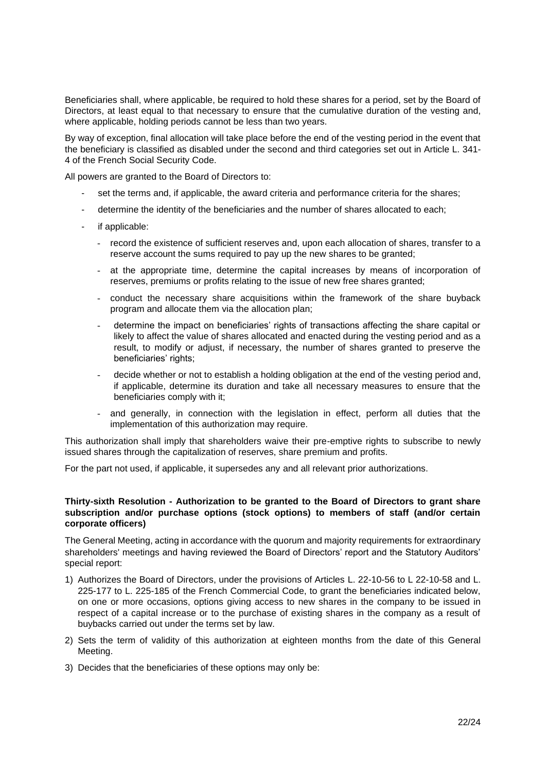Beneficiaries shall, where applicable, be required to hold these shares for a period, set by the Board of Directors, at least equal to that necessary to ensure that the cumulative duration of the vesting and, where applicable, holding periods cannot be less than two years.

By way of exception, final allocation will take place before the end of the vesting period in the event that the beneficiary is classified as disabled under the second and third categories set out in Article L. 341- 4 of the French Social Security Code.

All powers are granted to the Board of Directors to:

- set the terms and, if applicable, the award criteria and performance criteria for the shares;
- determine the identity of the beneficiaries and the number of shares allocated to each;
- if applicable:
	- record the existence of sufficient reserves and, upon each allocation of shares, transfer to a reserve account the sums required to pay up the new shares to be granted;
	- at the appropriate time, determine the capital increases by means of incorporation of reserves, premiums or profits relating to the issue of new free shares granted;
	- conduct the necessary share acquisitions within the framework of the share buyback program and allocate them via the allocation plan;
	- determine the impact on beneficiaries' rights of transactions affecting the share capital or likely to affect the value of shares allocated and enacted during the vesting period and as a result, to modify or adjust, if necessary, the number of shares granted to preserve the beneficiaries' rights;
	- decide whether or not to establish a holding obligation at the end of the vesting period and, if applicable, determine its duration and take all necessary measures to ensure that the beneficiaries comply with it;
	- and generally, in connection with the legislation in effect, perform all duties that the implementation of this authorization may require.

This authorization shall imply that shareholders waive their pre-emptive rights to subscribe to newly issued shares through the capitalization of reserves, share premium and profits.

For the part not used, if applicable, it supersedes any and all relevant prior authorizations.

# **Thirty-sixth Resolution - Authorization to be granted to the Board of Directors to grant share subscription and/or purchase options (stock options) to members of staff (and/or certain corporate officers)**

The General Meeting, acting in accordance with the quorum and majority requirements for extraordinary shareholders' meetings and having reviewed the Board of Directors' report and the Statutory Auditors' special report:

- 1) Authorizes the Board of Directors, under the provisions of Articles L. 22-10-56 to L 22-10-58 and L. 225-177 to L. 225-185 of the French Commercial Code, to grant the beneficiaries indicated below, on one or more occasions, options giving access to new shares in the company to be issued in respect of a capital increase or to the purchase of existing shares in the company as a result of buybacks carried out under the terms set by law.
- 2) Sets the term of validity of this authorization at eighteen months from the date of this General Meeting.
- 3) Decides that the beneficiaries of these options may only be: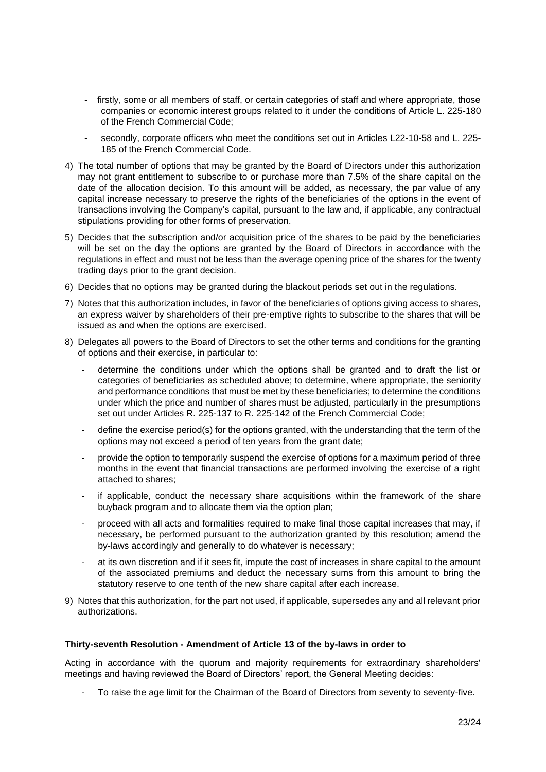- firstly, some or all members of staff, or certain categories of staff and where appropriate, those companies or economic interest groups related to it under the conditions of Article L. 225-180 of the French Commercial Code;
- secondly, corporate officers who meet the conditions set out in Articles L22-10-58 and L. 225-185 of the French Commercial Code.
- 4) The total number of options that may be granted by the Board of Directors under this authorization may not grant entitlement to subscribe to or purchase more than 7.5% of the share capital on the date of the allocation decision. To this amount will be added, as necessary, the par value of any capital increase necessary to preserve the rights of the beneficiaries of the options in the event of transactions involving the Company's capital, pursuant to the law and, if applicable, any contractual stipulations providing for other forms of preservation.
- 5) Decides that the subscription and/or acquisition price of the shares to be paid by the beneficiaries will be set on the day the options are granted by the Board of Directors in accordance with the regulations in effect and must not be less than the average opening price of the shares for the twenty trading days prior to the grant decision.
- 6) Decides that no options may be granted during the blackout periods set out in the regulations.
- 7) Notes that this authorization includes, in favor of the beneficiaries of options giving access to shares, an express waiver by shareholders of their pre-emptive rights to subscribe to the shares that will be issued as and when the options are exercised.
- 8) Delegates all powers to the Board of Directors to set the other terms and conditions for the granting of options and their exercise, in particular to:
	- determine the conditions under which the options shall be granted and to draft the list or categories of beneficiaries as scheduled above; to determine, where appropriate, the seniority and performance conditions that must be met by these beneficiaries; to determine the conditions under which the price and number of shares must be adjusted, particularly in the presumptions set out under Articles R. 225-137 to R. 225-142 of the French Commercial Code;
	- define the exercise period(s) for the options granted, with the understanding that the term of the options may not exceed a period of ten years from the grant date;
	- provide the option to temporarily suspend the exercise of options for a maximum period of three months in the event that financial transactions are performed involving the exercise of a right attached to shares;
	- if applicable, conduct the necessary share acquisitions within the framework of the share buyback program and to allocate them via the option plan;
	- proceed with all acts and formalities required to make final those capital increases that may, if necessary, be performed pursuant to the authorization granted by this resolution; amend the by-laws accordingly and generally to do whatever is necessary;
	- at its own discretion and if it sees fit, impute the cost of increases in share capital to the amount of the associated premiums and deduct the necessary sums from this amount to bring the statutory reserve to one tenth of the new share capital after each increase.
- 9) Notes that this authorization, for the part not used, if applicable, supersedes any and all relevant prior authorizations.

#### **Thirty-seventh Resolution - Amendment of Article 13 of the by-laws in order to**

Acting in accordance with the quorum and majority requirements for extraordinary shareholders' meetings and having reviewed the Board of Directors' report, the General Meeting decides:

- To raise the age limit for the Chairman of the Board of Directors from seventy to seventy-five.